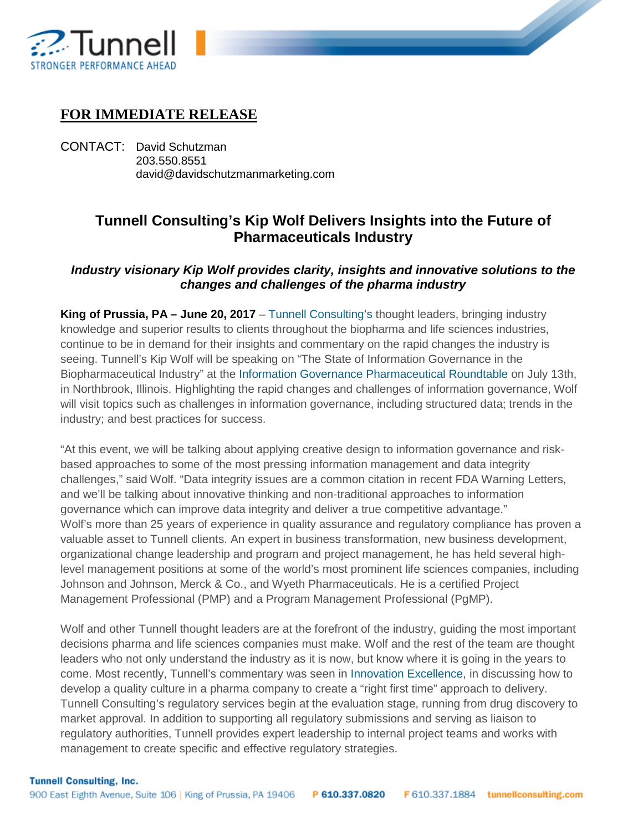

## **FOR IMMEDIATE RELEASE**

CONTACT: David Schutzman 203.550.8551 david@davidschutzmanmarketing.com

## **Tunnell Consulting's Kip Wolf Delivers Insights into the Future of Pharmaceuticals Industry**

## *Industry visionary Kip Wolf provides clarity, insights and innovative solutions to the changes and challenges of the pharma industry*

**King of Prussia, PA – June 20, 2017** – [Tunnell Consulting's](http://www.tunnellconsulting.com/) thought leaders, bringing industry knowledge and superior results to clients throughout the biopharma and life sciences industries, continue to be in demand for their insights and commentary on the rapid changes the industry is seeing. Tunnell's Kip Wolf will be speaking on "The State of Information Governance in the Biopharmaceutical Industry" at the [Information Governance Pharmaceutical Roundtable](http://bit.ly/2rsBf66) on July 13th, in Northbrook, Illinois. Highlighting the rapid changes and challenges of information governance, Wolf will visit topics such as challenges in information governance, including structured data; trends in the industry; and best practices for success.

"At this event, we will be talking about applying creative design to information governance and riskbased approaches to some of the most pressing information management and data integrity challenges," said Wolf. "Data integrity issues are a common citation in recent FDA Warning Letters, and we'll be talking about innovative thinking and non-traditional approaches to information governance which can improve data integrity and deliver a true competitive advantage." Wolf's more than 25 years of experience in quality assurance and regulatory compliance has proven a valuable asset to Tunnell clients. An expert in business transformation, new business development, organizational change leadership and program and project management, he has held several highlevel management positions at some of the world's most prominent life sciences companies, including Johnson and Johnson, Merck & Co., and Wyeth Pharmaceuticals. He is a certified Project Management Professional (PMP) and a Program Management Professional (PgMP).

Wolf and other Tunnell thought leaders are at the forefront of the industry, guiding the most important decisions pharma and life sciences companies must make. Wolf and the rest of the team are thought leaders who not only understand the industry as it is now, but know where it is going in the years to come. Most recently, Tunnell's commentary was seen in [Innovation Excellence,](http://innovationexcellence.com/blog/2017/06/13/quality-culture-getting-it-right-the-first-time/) in discussing how to develop a quality culture in a pharma company to create a "right first time" approach to delivery. Tunnell Consulting's regulatory services begin at the evaluation stage, running from drug discovery to market approval. In addition to supporting all regulatory submissions and serving as liaison to regulatory authorities, Tunnell provides expert leadership to internal project teams and works with management to create specific and effective regulatory strategies.